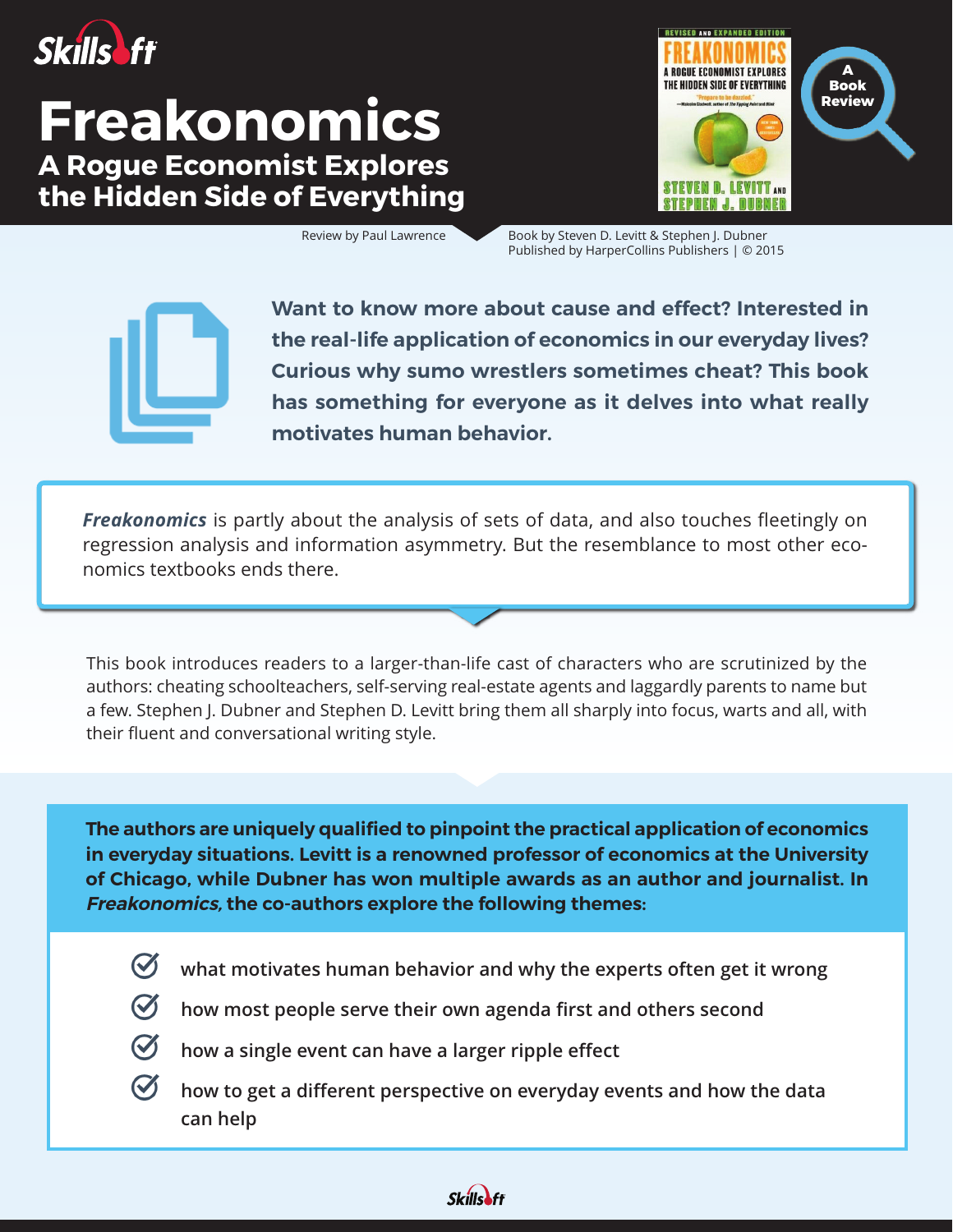

# **Freakonomics A Rogue Economist Explores the Hidden Side of Everything**



Review by Paul Lawrence Book by Steven D. Levitt & Stephen J. Dubner Published by HarperCollins Publishers | © 2015



**Want to know more about cause and effect? Interested in the real-life application of economics in our everyday lives? Curious why sumo wrestlers sometimes cheat? This book has something for everyone as it delves into what really motivates human behavior.**

*Freakonomics* is partly about the analysis of sets of data, and also touches fleetingly on regression analysis and information asymmetry. But the resemblance to most other economics textbooks ends there.

This book introduces readers to a larger-than-life cast of characters who are scrutinized by the authors: cheating schoolteachers, self-serving real-estate agents and laggardly parents to name but a few. Stephen J. Dubner and Stephen D. Levitt bring them all sharply into focus, warts and all, with their fluent and conversational writing style.

**The authors are uniquely qualified to pinpoint the practical application of economics in everyday situations. Levitt is a renowned professor of economics at the University of Chicago, while Dubner has won multiple awards as an author and journalist. In Freakonomics, the co-authors explore the following themes:**

 $\boldsymbol{\mathcal{C}}$ 

**what motivates human behavior and why the experts often get it wrong**



**how most people serve their own agenda first and others second**

- - **how a single event can have a larger ripple effect**
	- **how to get a different perspective on everyday events and how the data can help**

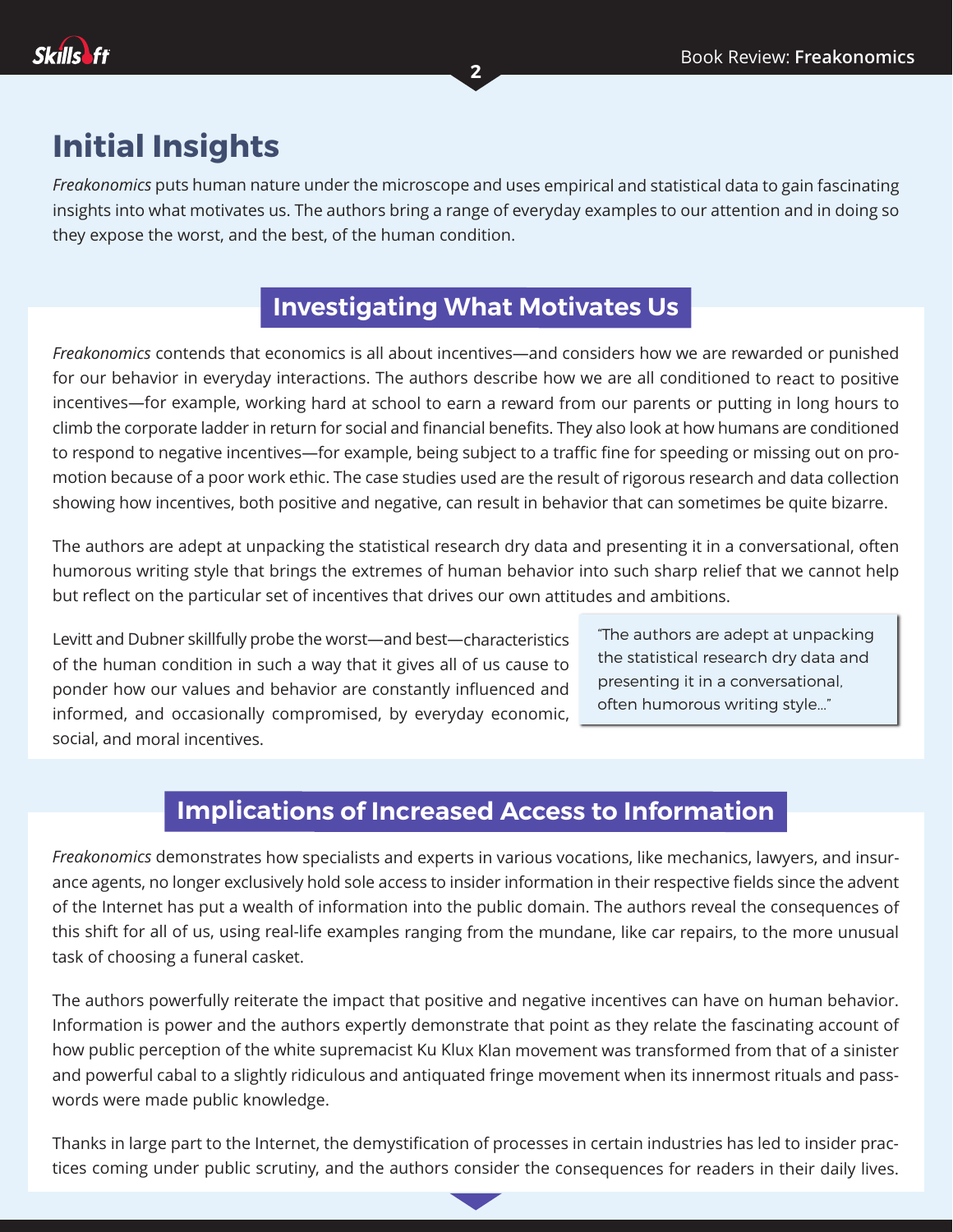

### **Initial Insights**

*Freakonomics* puts human nature under the microscope and uses empirical and statistical data to gain fascinating insights into what motivates us. The authors bring <sup>a</sup> range of everyday examples to our attention and in doing so they expose the worst, and the best, of the human condition.

**2**

### **sInvestigating What Motivates Uss**

*Freakonomics* contends that economics is all about incentives—and considers how we are rewarded or punished for our behavior in everyday interactions. The authors describe how we are all conditioned to react to positive incentives—for example, working hard at school to earn <sup>a</sup> reward from our parents or putting in long hours to climb the corporate ladder in return for social and financial benefits. They also look at how humans are conditioned to respond to negative incentives—for example, being subject to <sup>a</sup> traffic fine for speeding or missing out on promotion because of <sup>a</sup> poor work ethic. The case studies used are the result of rigorous research and data collection showing how incentives, both positive and negative, can result in behavior that can sometimes be quite bizarre.

The authors are adept at unpacking the statistical research dry data and presenting it in <sup>a</sup> conversational, often humorous writing style that brings the extremes of human behavior into such sharp relief that we cannot help but reflect on the particular set of incentives that drives our own attitudes and ambitions.

Levitt and Dubner skillfully probe the worst—and best—characteristics of the human condition in such <sup>a</sup> way that it gives all of us cause to ponder how our values and behavior are constantly influenced and informed, and occasionally compromised, by everyday economic, social, and moral incentives.

"The authors are adept at unpacking the statistical research dry data and presenting it in a conversational, often humorous writing style..."

#### **implications of Increased Access to Information**

*Freakonomics* demonstrates how specialists and experts in various vocations, like mechanics, lawyers, and insurance agents, no longer exclusively hold sole access to insider information in their respective fields since the advent of the Internet has put <sup>a</sup> wealth of information into the public domain. The authors reveal the consequences of this shift for all of us, using real-life examples ranging from the mundane, like car repairs, to the more unusual task of choosing <sup>a</sup> funeral casket.

The authors powerfully reiterate the impact that positive and negative incentives can have on human behavior. Information is power and the authors expertly demonstrate that point as they relate the fascinating account of how public perception of the white supremacist Ku Klux Klan movement was transformed from that of <sup>a</sup> sinister and powerful cabal to <sup>a</sup> slightly ridiculous and antiquated fringe movement when its innermost rituals and passwords were made public knowledge.

Thanks in large part to the Internet, the demystification of processes in certain industries has led to insider practices coming under public scrutiny, and the authors consider the consequences for readers in their daily lives.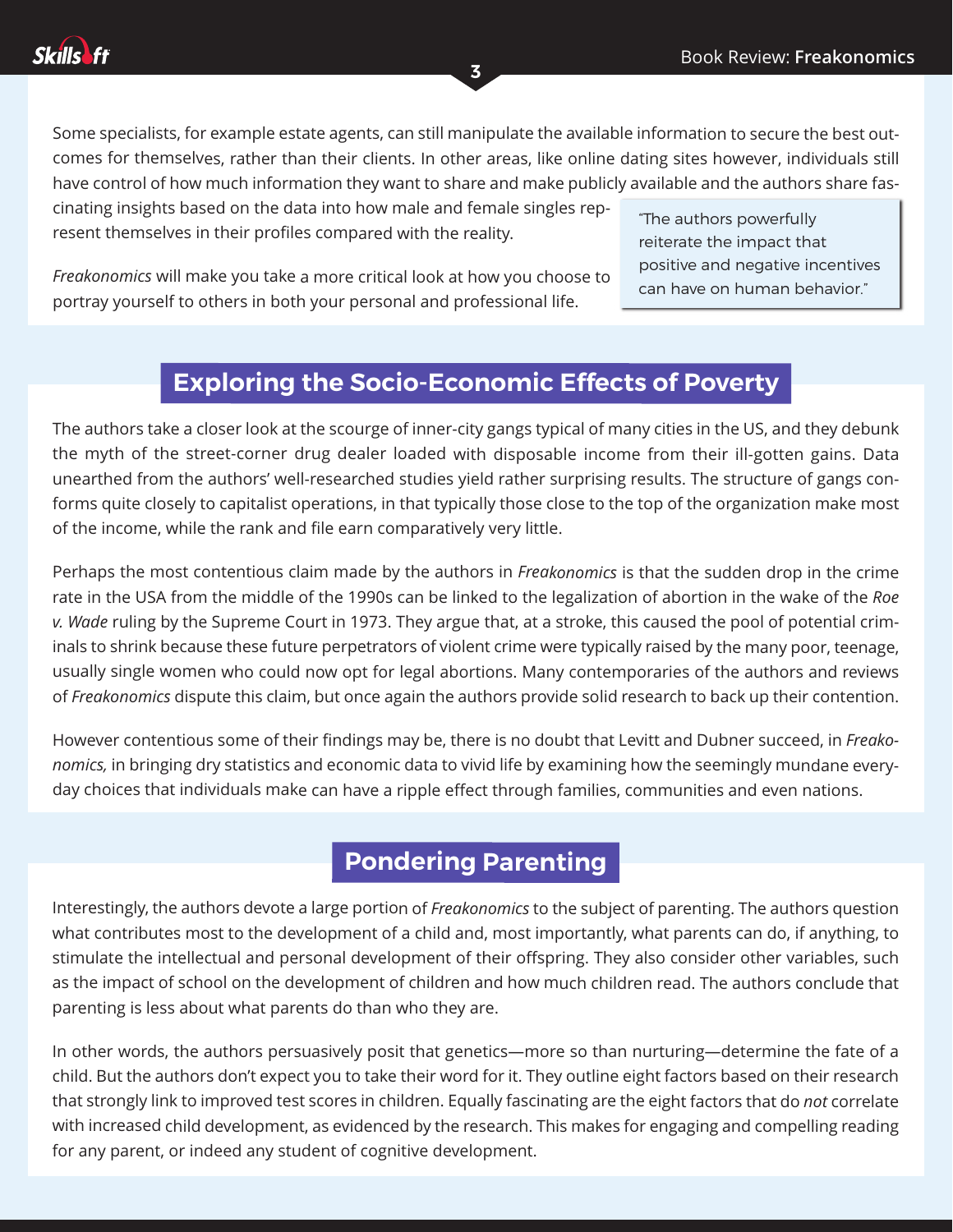Some specialists, for example estate agents, can still manipulate the available information to secure the best outcomes for themselves, rather than their clients. In other areas, like online dating sites however, individuals still have control of how much information they want to share and make publicly available and the authors share fas-

**3**

cinating insights based on the data into how male and female singles represent themselves in their profiles compared with the reality.

"The authors powerfully reiterate the impact that positive and negative incentives can have on human behavior."

*Freakonomics* will make you take <sup>a</sup> more critical look at how you choose to portray yourself to others in both your personal and professional life.

#### **Exploring the Socio-Economic Effects of Poverty**

The authors take <sup>a</sup> closer look at the scourge of inner-city gangs typical of many cities in the US, and they debunk the myth of the street-corner drug dealer loaded with disposable income from their ill-gotten gains. Data unearthed from the authors' well-researched studies yield rather surprising results. The structure of gangs conforms quite closely to capitalist operations, in that typically those close to the top of the organization make most of the income, while the rank and file earn comparatively very little.

Perhaps the most contentious claim made by the authors in *Freakonomics* is that the sudden drop in the crime rate in the USA from the middle of the 1990s can be linked to the legalization of abortion in the wake of the *Roe v. Wade* ruling by the Supreme Court in 1973. They argue that, at <sup>a</sup> stroke, this caused the pool of potential criminals to shrink because these future perpetrators of violent crime were typically raised by the many poor, teenage, usually single women who could now opt for legal abortions. Many contemporaries of the authors and reviews of *Freakonomics* dispute this claim, but once again the authors provide solid research to back up their contention.

However contentious some of their findings may be, there is no doubt that Levitt and Dubner succeed, in *Freakonomics,* in bringing dry statistics and economic data to vivid life by examining how the seemingly mundane everyday choices that individuals make can have <sup>a</sup> ripple effect through families, communities and even nations.

#### **Pondering Parenting**

where a university persuasively and the authors persuasively and the authors persuasively and  $\frac{1}{2}$ as the impact of school on the development of children and how much children read. The authors conclude that<br> Interestingly, the authors devote <sup>a</sup> large portion of *Freakonomics* to the subject of parenting. The authors question what contributes most to the development of <sup>a</sup> child and, most importantly, what parents can do, if anything, to stimulate the intellectual and personal development of their offspring. They also consider other variables, such parenting is less about what parents do than who they are.

In other words, the authors persuasively posit that genetics—more so than nurturing—determine the fate of <sup>a</sup> child. But the authors don't expect you to take their word for it. They outline eight factors based on their research that strongly link to improved test scores in children. Equally fascinating are the eight factors that do *not* correlate with increased child development, as evidenced by the research. This makes for engaging and compelling reading for any parent, or indeed any student of cognitive development.